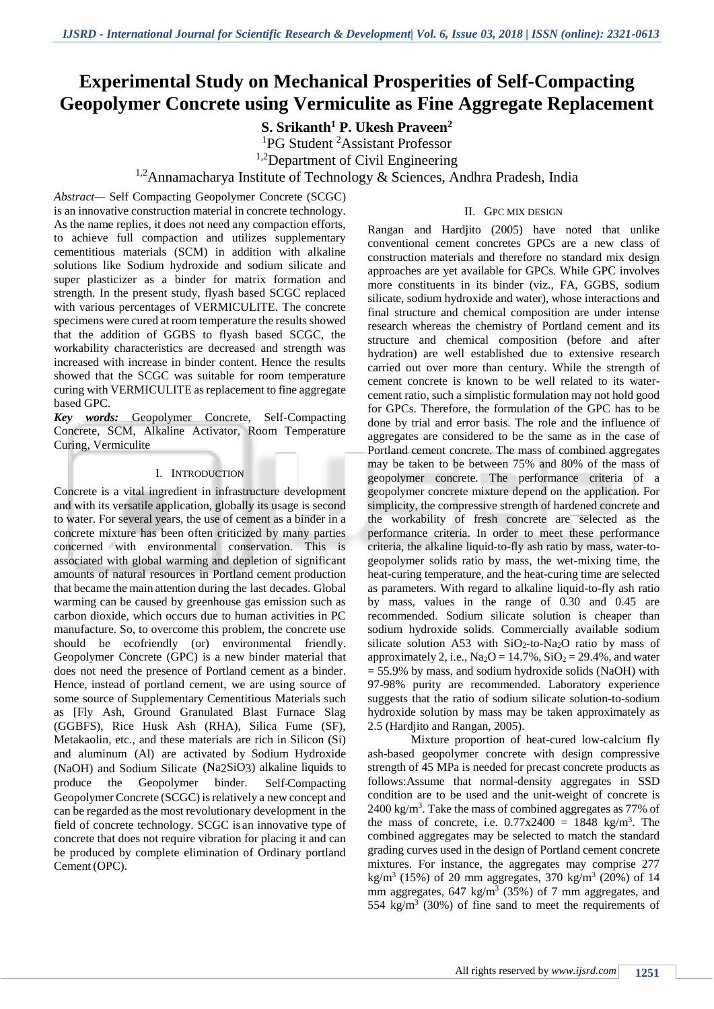# **Experimental Study on Mechanical Prosperities of Self-Compacting Geopolymer Concrete using Vermiculite as Fine Aggregate Replacement**

## **S. Srikanth<sup>1</sup> P. Ukesh Praveen<sup>2</sup>**

<sup>1</sup>PG Student <sup>2</sup>Assistant Professor

<sup>1,2</sup>Department of Civil Engineering

<sup>1,2</sup>Annamacharya Institute of Technology & Sciences, Andhra Pradesh, India

*Abstract—* Self Compacting Geopolymer Concrete (SCGC) is an innovative construction material in concrete technology. As the name replies, it does not need any compaction efforts, to achieve full compaction and utilizes supplementary cementitious materials (SCM) in addition with alkaline solutions like Sodium hydroxide and sodium silicate and super plasticizer as a binder for matrix formation and strength. In the present study, flyash based SCGC replaced with various percentages of VERMICULITE. The concrete specimens were cured at room temperature the results showed that the addition of GGBS to flyash based SCGC, the workability characteristics are decreased and strength was increased with increase in binder content. Hence the results showed that the SCGC was suitable for room temperature curing with VERMICULITE as replacement to fine aggregate based GPC.

*Key words:* Geopolymer Concrete, Self-Compacting Concrete, SCM, Alkaline Activator, Room Temperature Curing, Vermiculite

#### I. INTRODUCTION

Concrete is a vital ingredient in infrastructure development and with its versatile application, globally its usage is second to water. For several years, the use of cement as a binder in a concrete mixture has been often criticized by many parties concerned with environmental conservation. This is associated with global warming and depletion of significant amounts of natural resources in Portland cement production that became the main attention during the last decades. Global warming can be caused by greenhouse gas emission such as carbon dioxide, which occurs due to human activities in PC manufacture. So, to overcome this problem, the concrete use should be ecofriendly (or) environmental friendly. Geopolymer Concrete (GPC) is a new binder material that does not need the presence of Portland cement as a binder. Hence, instead of portland cement, we are using source of some source of Supplementary Cementitious Materials such as [Fly Ash, Ground Granulated Blast Furnace Slag (GGBFS), Rice Husk Ash (RHA), Silica Fume (SF), Metakaolin, etc., and these materials are rich in Silicon (Si) and aluminum (Al) are activated by Sodium Hydroxide (NaOH) and Sodium Silicate (Na2SiO3) alkaline liquids to produce the Geopolymer binder. Self-Compacting Geopolymer Concrete (SCGC) isrelatively a new concept and can be regarded as the most revolutionary development in the field of concrete technology. SCGC is an innovative type of concrete that does not require vibration for placing it and can be produced by complete elimination of Ordinary portland Cement (OPC).

#### II. GPC MIX DESIGN

Rangan and Hardjito (2005) have noted that unlike conventional cement concretes GPCs are a new class of construction materials and therefore no standard mix design approaches are yet available for GPCs. While GPC involves more constituents in its binder (viz., FA, GGBS, sodium silicate, sodium hydroxide and water), whose interactions and final structure and chemical composition are under intense research whereas the chemistry of Portland cement and its structure and chemical composition (before and after hydration) are well established due to extensive research carried out over more than century. While the strength of cement concrete is known to be well related to its watercement ratio, such a simplistic formulation may not hold good for GPCs. Therefore, the formulation of the GPC has to be done by trial and error basis. The role and the influence of aggregates are considered to be the same as in the case of Portland cement concrete. The mass of combined aggregates may be taken to be between 75% and 80% of the mass of geopolymer concrete. The performance criteria of a geopolymer concrete mixture depend on the application. For simplicity, the compressive strength of hardened concrete and the workability of fresh concrete are selected as the performance criteria. In order to meet these performance criteria, the alkaline liquid-to-fly ash ratio by mass, water-togeopolymer solids ratio by mass, the wet-mixing time, the heat-curing temperature, and the heat-curing time are selected as parameters. With regard to alkaline liquid-to-fly ash ratio by mass, values in the range of 0.30 and 0.45 are recommended. Sodium silicate solution is cheaper than sodium hydroxide solids. Commercially available sodium silicate solution A53 with SiO2-to-Na2O ratio by mass of approximately 2, i.e.,  $\text{Na}_2\text{O} = 14.7\%$ ,  $\text{SiO}_2 = 29.4\%$ , and water  $= 55.9\%$  by mass, and sodium hydroxide solids (NaOH) with 97-98% purity are recommended. Laboratory experience suggests that the ratio of sodium silicate solution-to-sodium hydroxide solution by mass may be taken approximately as 2.5 (Hardjito and Rangan, 2005).

Mixture proportion of heat-cured low-calcium fly ash-based geopolymer concrete with design compressive strength of 45 MPa is needed for precast concrete products as follows:Assume that normal-density aggregates in SSD condition are to be used and the unit-weight of concrete is 2400 kg/m<sup>3</sup> . Take the mass of combined aggregates as 77% of the mass of concrete, i.e.  $0.77 \times 2400 = 1848 \text{ kg/m}^3$ . The combined aggregates may be selected to match the standard grading curves used in the design of Portland cement concrete mixtures. For instance, the aggregates may comprise 277 kg/m<sup>3</sup> (15%) of 20 mm aggregates, 370 kg/m<sup>3</sup> (20%) of 14 mm aggregates,  $647 \text{ kg/m}^3$  (35%) of 7 mm aggregates, and 554 kg/m<sup>3</sup> (30%) of fine sand to meet the requirements of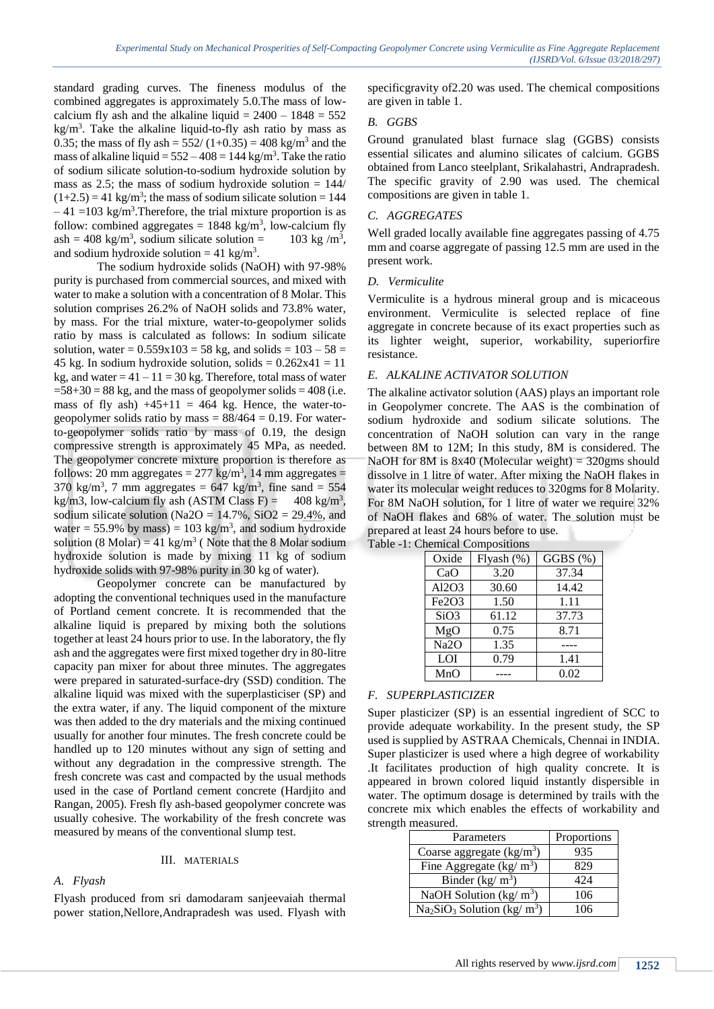standard grading curves. The fineness modulus of the combined aggregates is approximately 5.0.The mass of lowcalcium fly ash and the alkaline liquid  $= 2400 - 1848 = 552$  $kg/m<sup>3</sup>$ . Take the alkaline liquid-to-fly ash ratio by mass as 0.35; the mass of fly ash =  $552/(1+0.35) = 408$  kg/m<sup>3</sup> and the mass of alkaline liquid =  $552 - 408 = 144$  kg/m<sup>3</sup>. Take the ratio of sodium silicate solution-to-sodium hydroxide solution by mass as 2.5; the mass of sodium hydroxide solution  $= 144/$  $(1+2.5) = 41$  kg/m<sup>3</sup>; the mass of sodium silicate solution = 144  $-41$  =103 kg/m<sup>3</sup>. Therefore, the trial mixture proportion is as follow: combined aggregates =  $1848 \text{ kg/m}^3$ , low-calcium fly  $ash = 408 \text{ kg/m}^3$ , sodium silicate solution = 103 kg /m<sup>3</sup> 103 kg/m<sup>3</sup>, and sodium hydroxide solution =  $41 \text{ kg/m}^3$ .

The sodium hydroxide solids (NaOH) with 97-98% purity is purchased from commercial sources, and mixed with water to make a solution with a concentration of 8 Molar. This solution comprises 26.2% of NaOH solids and 73.8% water, by mass. For the trial mixture, water-to-geopolymer solids ratio by mass is calculated as follows: In sodium silicate solution, water =  $0.559x103 = 58$  kg, and solids =  $103 - 58 =$ 45 kg. In sodium hydroxide solution, solids  $= 0.262x41 = 11$ kg, and water  $= 41 - 11 = 30$  kg. Therefore, total mass of water  $=58+30=88$  kg, and the mass of geopolymer solids  $=408$  (i.e. mass of fly ash)  $+45+11 = 464$  kg. Hence, the water-togeopolymer solids ratio by mass  $= 88/464 = 0.19$ . For waterto-geopolymer solids ratio by mass of 0.19, the design compressive strength is approximately 45 MPa, as needed. The geopolymer concrete mixture proportion is therefore as follows: 20 mm aggregates =  $277 \text{ kg/m}^3$ , 14 mm aggregates =  $370 \text{ kg/m}^3$ , 7 mm aggregates = 647 kg/m<sup>3</sup>, fine sand = 554 kg/m3, low-calcium fly ash (ASTM Class F) =  $408 \text{ kg/m}^3$ , sodium silicate solution (Na2O =  $14.7\%$ , SiO2 = 29.4%, and water = 55.9% by mass) = 103 kg/m<sup>3</sup>, and sodium hydroxide solution (8 Molar) = 41 kg/m<sup>3</sup> (Note that the 8 Molar sodium hydroxide solution is made by mixing 11 kg of sodium hydroxide solids with 97-98% purity in 30 kg of water).

Geopolymer concrete can be manufactured by adopting the conventional techniques used in the manufacture of Portland cement concrete. It is recommended that the alkaline liquid is prepared by mixing both the solutions together at least 24 hours prior to use. In the laboratory, the fly ash and the aggregates were first mixed together dry in 80-litre capacity pan mixer for about three minutes. The aggregates were prepared in saturated-surface-dry (SSD) condition. The alkaline liquid was mixed with the superplasticiser (SP) and the extra water, if any. The liquid component of the mixture was then added to the dry materials and the mixing continued usually for another four minutes. The fresh concrete could be handled up to 120 minutes without any sign of setting and without any degradation in the compressive strength. The fresh concrete was cast and compacted by the usual methods used in the case of Portland cement concrete (Hardjito and Rangan, 2005). Fresh fly ash-based geopolymer concrete was usually cohesive. The workability of the fresh concrete was measured by means of the conventional slump test.

#### III. MATERIALS

### *A. Flyash*

Flyash produced from sri damodaram sanjeevaiah thermal power station,Nellore,Andrapradesh was used. Flyash with specificgravity of2.20 was used. The chemical compositions are given in table 1.

### *B. GGBS*

Ground granulated blast furnace slag (GGBS) consists essential silicates and alumino silicates of calcium. GGBS obtained from Lanco steelplant, Srikalahastri, Andrapradesh. The specific gravity of 2.90 was used. The chemical compositions are given in table 1.

#### *C. AGGREGATES*

Well graded locally available fine aggregates passing of 4.75 mm and coarse aggregate of passing 12.5 mm are used in the present work.

#### *D. Vermiculite*

Vermiculite is a hydrous mineral group and is micaceous environment. Vermiculite is selected replace of fine aggregate in concrete because of its exact properties such as its lighter weight, superior, workability, superiorfire resistance.

#### *E. ALKALINE ACTIVATOR SOLUTION*

The alkaline activator solution (AAS) plays an important role in Geopolymer concrete. The AAS is the combination of sodium hydroxide and sodium silicate solutions. The concentration of NaOH solution can vary in the range between 8M to 12M; In this study, 8M is considered. The NaOH for 8M is  $8x40$  (Molecular weight) = 320gms should dissolve in 1 litre of water. After mixing the NaOH flakes in water its molecular weight reduces to 320gms for 8 Molarity. For 8M NaOH solution, for 1 litre of water we require 32% of NaOH flakes and 68% of water. The solution must be prepared at least 24 hours before to use. Table -1: Chemical Compositions

| Oxide             | Flyash $(\%)$ | GGBS (%) |
|-------------------|---------------|----------|
| CaO               | 3.20          | 37.34    |
| Al2O3             | 30.60         | 14.42    |
| Fe2O3             | 1.50          | 1.11     |
| SiO <sub>3</sub>  | 61.12         | 37.73    |
| MgO               | 0.75          | 8.71     |
| Na <sub>2</sub> O | 1.35          |          |
| LOI               | 0.79          | 1.41     |
| MnO               |               | 0.02     |

### *F. SUPERPLASTICIZER*

Super plasticizer (SP) is an essential ingredient of SCC to provide adequate workability. In the present study, the SP used is supplied by ASTRAA Chemicals, Chennai in INDIA. Super plasticizer is used where a high degree of workability .It facilitates production of high quality concrete. It is appeared in brown colored liquid instantly dispersible in water. The optimum dosage is determined by trails with the concrete mix which enables the effects of workability and strength measured.

| Parameters                  | Proportions |  |
|-----------------------------|-------------|--|
| Coarse aggregate $(kg/m3)$  | 935         |  |
| Fine Aggregate (kg/ $m^3$ ) | 829         |  |
| Binder $(kg/m^3)$           | 424         |  |
| NaOH Solution (kg/ $m^3$ )  | 106         |  |
| $Na2SiO3 Solution (kg/m3)$  | 106         |  |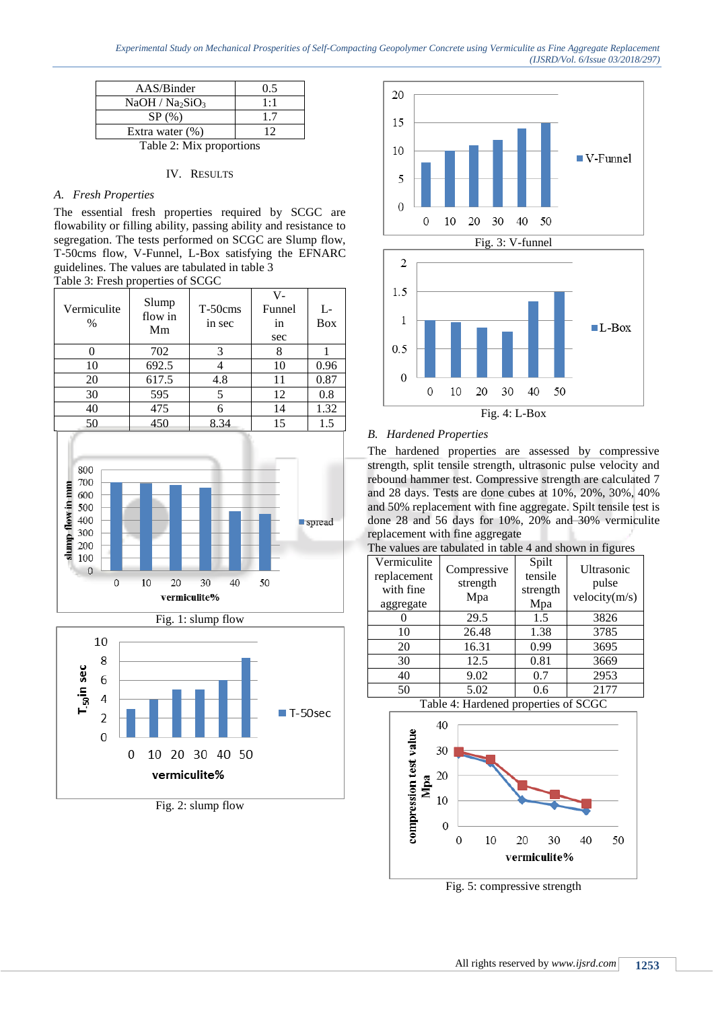| AAS/Binder                              | 0.5 |  |
|-----------------------------------------|-----|--|
| NaOH / Na <sub>2</sub> SiO <sub>3</sub> | 1:1 |  |
| SP(%)                                   | 17  |  |
| Extra water $(\%)$                      | 12  |  |
| Table 2: Mix proportions                |     |  |

#### IV. RESULTS

#### *A. Fresh Properties*

The essential fresh properties required by SCGC are flowability or filling ability, passing ability and resistance to segregation. The tests performed on SCGC are Slump flow, T-50cms flow, V-Funnel, L-Box satisfying the EFNARC guidelines. The values are tabulated in table 3 Table 3: Fresh properties of SCGC

| Vermiculite<br>$\%$ | Slump<br>flow in<br>Mm | T-50cms<br>in sec | V-<br>Funnel<br>in<br>sec | L-<br><b>Box</b> |
|---------------------|------------------------|-------------------|---------------------------|------------------|
|                     | 702                    |                   |                           |                  |
| 10                  | 692.5                  |                   | 10                        | 0.96             |
| 20                  | 617.5                  | 4.8               | 11                        | 0.87             |
| 30                  | 595                    |                   | 12                        | 0.8              |
| 40                  | 475                    |                   | 14                        | 1.32             |
|                     | 450                    | 8.34              | 15                        | 1.5              |



Fig. 1: slump flow



Fig. 2: slump flow





#### *B. Hardened Properties*

The hardened properties are assessed by compressive strength, split tensile strength, ultrasonic pulse velocity and rebound hammer test. Compressive strength are calculated 7 and 28 days. Tests are done cubes at 10%, 20%, 30%, 40% and 50% replacement with fine aggregate. Spilt tensile test is done 28 and 56 days for 10%, 20% and 30% vermiculite replacement with fine aggregate

| Vermiculite<br>replacement<br>with fine<br>aggregate | Compressive<br>strength<br>Mpa | Spilt<br>tensile<br>strength<br>Mpa | Ultrasonic<br>pulse<br>velocity(m/s) |
|------------------------------------------------------|--------------------------------|-------------------------------------|--------------------------------------|
|                                                      | 29.5                           | 1.5                                 | 3826                                 |
| 10                                                   | 26.48                          | 1.38                                | 3785                                 |
| 20                                                   | 16.31                          | 0.99                                | 3695                                 |
| 30                                                   | 12.5                           | 0.81                                | 3669                                 |
| 40                                                   | 9.02                           | 0.7                                 | 2953                                 |
| 50                                                   | 5.02                           | 0.6                                 | 2177                                 |

The values are tabulated in table 4 and shown in figures

Table 4: Hardened properties of SCGC



Fig. 5: compressive strength